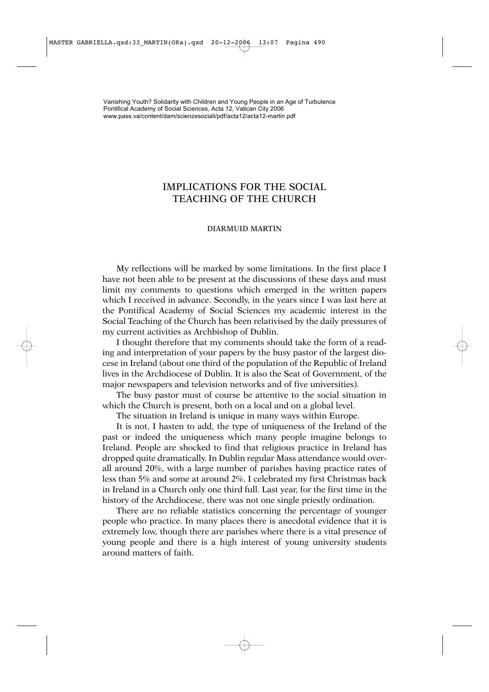## IMPLICATIONS FOR THE SOCIAL TEACHING OF THE CHURCH

## DIARMUID MARTIN

My reflections will be marked by some limitations. In the first place I have not been able to be present at the discussions of these days and must limit my comments to questions which emerged in the written papers which I received in advance. Secondly, in the years since I was last here at the Pontifical Academy of Social Sciences my academic interest in the Social Teaching of the Church has been relativised by the daily pressures of my current activities as Archbishop of Dublin.

I thought therefore that my comments should take the form of a reading and interpretation of your papers by the busy pastor of the largest diocese in Ireland (about one third of the population of the Republic of Ireland lives in the Archdiocese of Dublin. It is also the Seat of Government, of the major newspapers and television networks and of five universities).

The busy pastor must of course be attentive to the social situation in which the Church is present, both on a local and on a global level.

The situation in Ireland is unique in many ways within Europe.

It is not, I hasten to add, the type of uniqueness of the Ireland of the past or indeed the uniqueness which many people imagine belongs to Ireland. People are shocked to find that religious practice in Ireland has dropped quite dramatically. In Dublin regular Mass attendance would overall around 20%, with a large number of parishes having practice rates of less than 5% and some at around 2%. I celebrated my first Christmas back in Ireland in a Church only one third full. Last year, for the first time in the history of the Archdiocese, there was not one single priestly ordination.

There are no reliable statistics concerning the percentage of younger people who practice. In many places there is anecdotal evidence that it is extremely low, though there are parishes where there is a vital presence of young people and there is a high interest of young university students around matters of faith.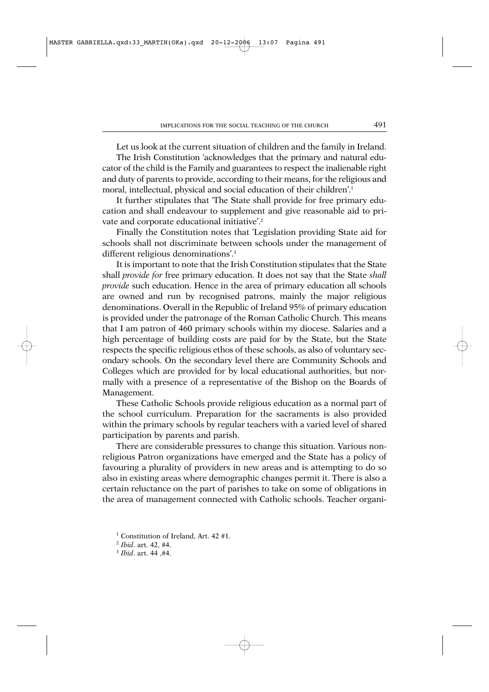Let us look at the current situation of children and the family in Ireland.

The Irish Constitution 'acknowledges that the primary and natural educator of the child is the Family and guarantees to respect the inalienable right and duty of parents to provide, according to their means, for the religious and moral, intellectual, physical and social education of their children'.1

It further stipulates that 'The State shall provide for free primary education and shall endeavour to supplement and give reasonable aid to private and corporate educational initiative'.2

Finally the Constitution notes that 'Legislation providing State aid for schools shall not discriminate between schools under the management of different religious denominations'.<sup>3</sup>

It is important to note that the Irish Constitution stipulates that the State shall *provide for* free primary education. It does not say that the State *shall provide* such education. Hence in the area of primary education all schools are owned and run by recognised patrons, mainly the major religious denominations. Overall in the Republic of Ireland 95% of primary education is provided under the patronage of the Roman Catholic Church. This means that I am patron of 460 primary schools within my diocese. Salaries and a high percentage of building costs are paid for by the State, but the State respects the specific religious ethos of these schools, as also of voluntary secondary schools. On the secondary level there are Community Schools and Colleges which are provided for by local educational authorities, but normally with a presence of a representative of the Bishop on the Boards of Management.

These Catholic Schools provide religious education as a normal part of the school curriculum. Preparation for the sacraments is also provided within the primary schools by regular teachers with a varied level of shared participation by parents and parish.

There are considerable pressures to change this situation. Various nonreligious Patron organizations have emerged and the State has a policy of favouring a plurality of providers in new areas and is attempting to do so also in existing areas where demographic changes permit it. There is also a certain reluctance on the part of parishes to take on some of obligations in the area of management connected with Catholic schools. Teacher organi-

<sup>&</sup>lt;sup>1</sup> Constitution of Ireland, Art. 42  $#1$ .

<sup>2</sup> *Ibid*. art. 42, #4.

<sup>3</sup> *Ibid*. art. 44 ,#4.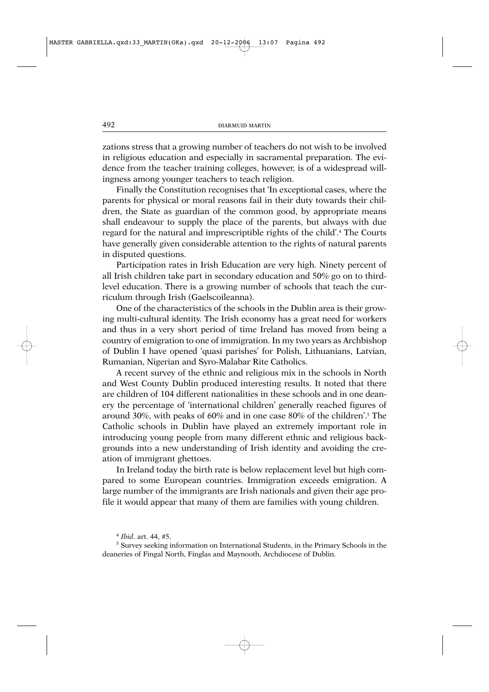zations stress that a growing number of teachers do not wish to be involved in religious education and especially in sacramental preparation. The evidence from the teacher training colleges, however, is of a widespread willingness among younger teachers to teach religion.

Finally the Constitution recognises that 'In exceptional cases, where the parents for physical or moral reasons fail in their duty towards their children, the State as guardian of the common good, by appropriate means shall endeavour to supply the place of the parents, but always with due regard for the natural and imprescriptible rights of the child'.4 The Courts have generally given considerable attention to the rights of natural parents in disputed questions.

Participation rates in Irish Education are very high. Ninety percent of all Irish children take part in secondary education and 50% go on to thirdlevel education. There is a growing number of schools that teach the curriculum through Irish (Gaelscoileanna).

One of the characteristics of the schools in the Dublin area is their growing multi-cultural identity. The Irish economy has a great need for workers and thus in a very short period of time Ireland has moved from being a country of emigration to one of immigration. In my two years as Archbishop of Dublin I have opened 'quasi parishes' for Polish, Lithuanians, Latvian, Rumanian, Nigerian and Syro-Malabar Rite Catholics.

A recent survey of the ethnic and religious mix in the schools in North and West County Dublin produced interesting results. It noted that there are children of 104 different nationalities in these schools and in one deanery the percentage of 'international children' generally reached figures of around 30%, with peaks of 60% and in one case 80% of the children'.5 The Catholic schools in Dublin have played an extremely important role in introducing young people from many different ethnic and religious backgrounds into a new understanding of Irish identity and avoiding the creation of immigrant ghettoes.

In Ireland today the birth rate is below replacement level but high compared to some European countries. Immigration exceeds emigration. A large number of the immigrants are Irish nationals and given their age profile it would appear that many of them are families with young children.

<sup>4</sup> *Ibid*. art. 44, #5.

<sup>5</sup> Survey seeking information on International Students, in the Primary Schools in the deaneries of Fingal North, Finglas and Maynooth, Archdiocese of Dublin.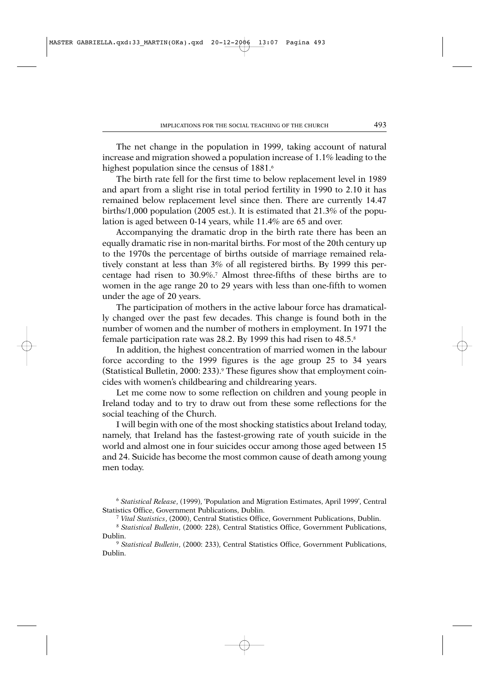The net change in the population in 1999, taking account of natural increase and migration showed a population increase of 1.1% leading to the highest population since the census of 1881.<sup>6</sup>

The birth rate fell for the first time to below replacement level in 1989 and apart from a slight rise in total period fertility in 1990 to 2.10 it has remained below replacement level since then. There are currently 14.47 births/1,000 population (2005 est.). It is estimated that 21.3% of the population is aged between 0-14 years, while 11.4% are 65 and over.

Accompanying the dramatic drop in the birth rate there has been an equally dramatic rise in non-marital births. For most of the 20th century up to the 1970s the percentage of births outside of marriage remained relatively constant at less than 3% of all registered births. By 1999 this percentage had risen to 30.9%.7 Almost three-fifths of these births are to women in the age range 20 to 29 years with less than one-fifth to women under the age of 20 years.

The participation of mothers in the active labour force has dramatically changed over the past few decades. This change is found both in the number of women and the number of mothers in employment. In 1971 the female participation rate was 28.2. By 1999 this had risen to 48.5.8

In addition, the highest concentration of married women in the labour force according to the 1999 figures is the age group 25 to 34 years (Statistical Bulletin, 2000: 233).9 These figures show that employment coincides with women's childbearing and childrearing years.

Let me come now to some reflection on children and young people in Ireland today and to try to draw out from these some reflections for the social teaching of the Church.

I will begin with one of the most shocking statistics about Ireland today, namely, that Ireland has the fastest-growing rate of youth suicide in the world and almost one in four suicides occur among those aged between 15 and 24. Suicide has become the most common cause of death among young men today.

<sup>6</sup> *Statistical Release*, (1999), 'Population and Migration Estimates, April 1999', Central Statistics Office, Government Publications, Dublin.

<sup>7</sup> *Vital Statistics*, (2000), Central Statistics Office, Government Publications, Dublin.

<sup>8</sup> *Statistical Bulletin*, (2000: 228), Central Statistics Office, Government Publications, Dublin.

<sup>9</sup> *Statistical Bulletin*, (2000: 233), Central Statistics Office, Government Publications, Dublin.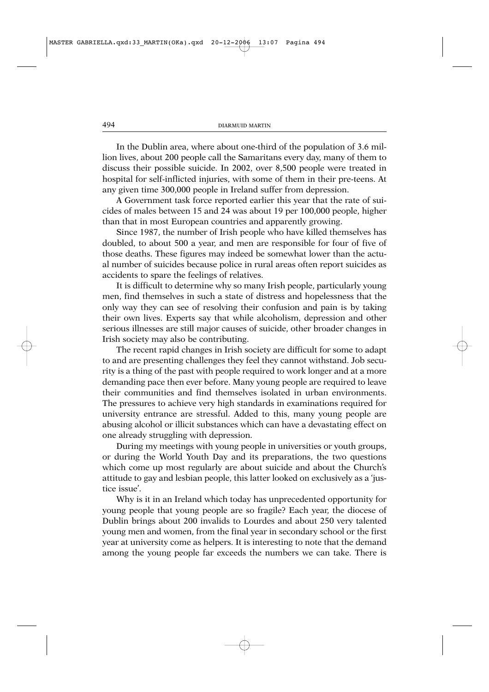In the Dublin area, where about one-third of the population of 3.6 million lives, about 200 people call the Samaritans every day, many of them to discuss their possible suicide. In 2002, over 8,500 people were treated in hospital for self-inflicted injuries, with some of them in their pre-teens. At any given time 300,000 people in Ireland suffer from depression.

A Government task force reported earlier this year that the rate of suicides of males between 15 and 24 was about 19 per 100,000 people, higher than that in most European countries and apparently growing.

Since 1987, the number of Irish people who have killed themselves has doubled, to about 500 a year, and men are responsible for four of five of those deaths. These figures may indeed be somewhat lower than the actual number of suicides because police in rural areas often report suicides as accidents to spare the feelings of relatives.

It is difficult to determine why so many Irish people, particularly young men, find themselves in such a state of distress and hopelessness that the only way they can see of resolving their confusion and pain is by taking their own lives. Experts say that while alcoholism, depression and other serious illnesses are still major causes of suicide, other broader changes in Irish society may also be contributing.

The recent rapid changes in Irish society are difficult for some to adapt to and are presenting challenges they feel they cannot withstand. Job security is a thing of the past with people required to work longer and at a more demanding pace then ever before. Many young people are required to leave their communities and find themselves isolated in urban environments. The pressures to achieve very high standards in examinations required for university entrance are stressful. Added to this, many young people are abusing alcohol or illicit substances which can have a devastating effect on one already struggling with depression.

During my meetings with young people in universities or youth groups, or during the World Youth Day and its preparations, the two questions which come up most regularly are about suicide and about the Church's attitude to gay and lesbian people, this latter looked on exclusively as a 'justice issue'.

Why is it in an Ireland which today has unprecedented opportunity for young people that young people are so fragile? Each year, the diocese of Dublin brings about 200 invalids to Lourdes and about 250 very talented young men and women, from the final year in secondary school or the first year at university come as helpers. It is interesting to note that the demand among the young people far exceeds the numbers we can take. There is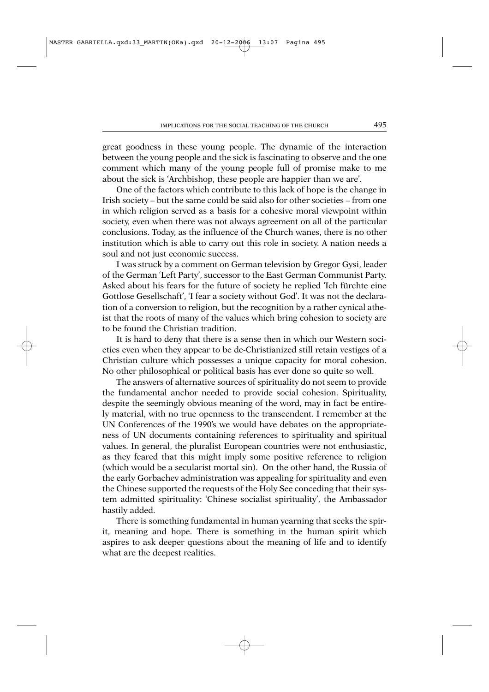great goodness in these young people. The dynamic of the interaction between the young people and the sick is fascinating to observe and the one comment which many of the young people full of promise make to me about the sick is 'Archbishop, these people are happier than we are'.

One of the factors which contribute to this lack of hope is the change in Irish society – but the same could be said also for other societies – from one in which religion served as a basis for a cohesive moral viewpoint within society, even when there was not always agreement on all of the particular conclusions. Today, as the influence of the Church wanes, there is no other institution which is able to carry out this role in society. A nation needs a soul and not just economic success.

I was struck by a comment on German television by Gregor Gysi, leader of the German 'Left Party', successor to the East German Communist Party. Asked about his fears for the future of society he replied 'Ich fürchte eine Gottlose Gesellschaft', 'I fear a society without God'. It was not the declaration of a conversion to religion, but the recognition by a rather cynical atheist that the roots of many of the values which bring cohesion to society are to be found the Christian tradition.

It is hard to deny that there is a sense then in which our Western societies even when they appear to be de-Christianized still retain vestiges of a Christian culture which possesses a unique capacity for moral cohesion. No other philosophical or political basis has ever done so quite so well.

The answers of alternative sources of spirituality do not seem to provide the fundamental anchor needed to provide social cohesion. Spirituality, despite the seemingly obvious meaning of the word, may in fact be entirely material, with no true openness to the transcendent. I remember at the UN Conferences of the 1990's we would have debates on the appropriateness of UN documents containing references to spirituality and spiritual values. In general, the pluralist European countries were not enthusiastic, as they feared that this might imply some positive reference to religion (which would be a secularist mortal sin). On the other hand, the Russia of the early Gorbachev administration was appealing for spirituality and even the Chinese supported the requests of the Holy See conceding that their system admitted spirituality: 'Chinese socialist spirituality', the Ambassador hastily added.

There is something fundamental in human yearning that seeks the spirit, meaning and hope. There is something in the human spirit which aspires to ask deeper questions about the meaning of life and to identify what are the deepest realities.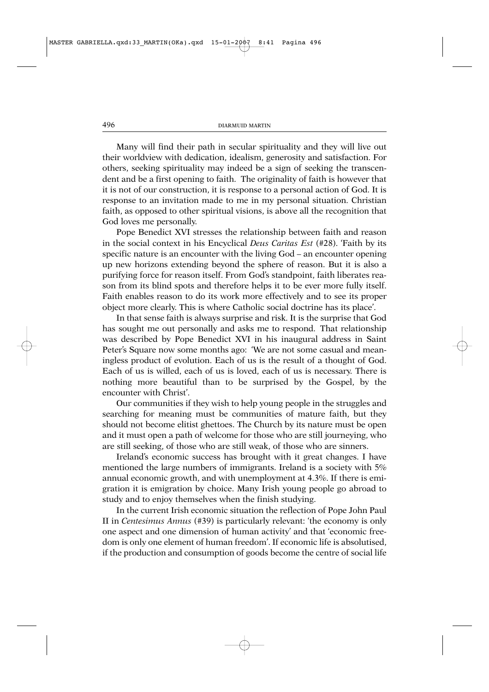Many will find their path in secular spirituality and they will live out their worldview with dedication, idealism, generosity and satisfaction. For others, seeking spirituality may indeed be a sign of seeking the transcendent and be a first opening to faith. The originality of faith is however that it is not of our construction, it is response to a personal action of God. It is response to an invitation made to me in my personal situation. Christian faith, as opposed to other spiritual visions, is above all the recognition that God loves me personally.

Pope Benedict XVI stresses the relationship between faith and reason in the social context in his Encyclical *Deus Caritas Est* (#28). 'Faith by its specific nature is an encounter with the living God – an encounter opening up new horizons extending beyond the sphere of reason. But it is also a purifying force for reason itself. From God's standpoint, faith liberates reason from its blind spots and therefore helps it to be ever more fully itself. Faith enables reason to do its work more effectively and to see its proper object more clearly. This is where Catholic social doctrine has its place'.

In that sense faith is always surprise and risk. It is the surprise that God has sought me out personally and asks me to respond. That relationship was described by Pope Benedict XVI in his inaugural address in Saint Peter's Square now some months ago: 'We are not some casual and meaningless product of evolution. Each of us is the result of a thought of God. Each of us is willed, each of us is loved, each of us is necessary. There is nothing more beautiful than to be surprised by the Gospel, by the encounter with Christ'.

Our communities if they wish to help young people in the struggles and searching for meaning must be communities of mature faith, but they should not become elitist ghettoes. The Church by its nature must be open and it must open a path of welcome for those who are still journeying, who are still seeking, of those who are still weak, of those who are sinners.

Ireland's economic success has brought with it great changes. I have mentioned the large numbers of immigrants. Ireland is a society with 5% annual economic growth, and with unemployment at 4.3%. If there is emigration it is emigration by choice. Many Irish young people go abroad to study and to enjoy themselves when the finish studying.

In the current Irish economic situation the reflection of Pope John Paul II in *Centesimus Annus* (#39) is particularly relevant: 'the economy is only one aspect and one dimension of human activity' and that 'economic freedom is only one element of human freedom'. If economic life is absolutised, if the production and consumption of goods become the centre of social life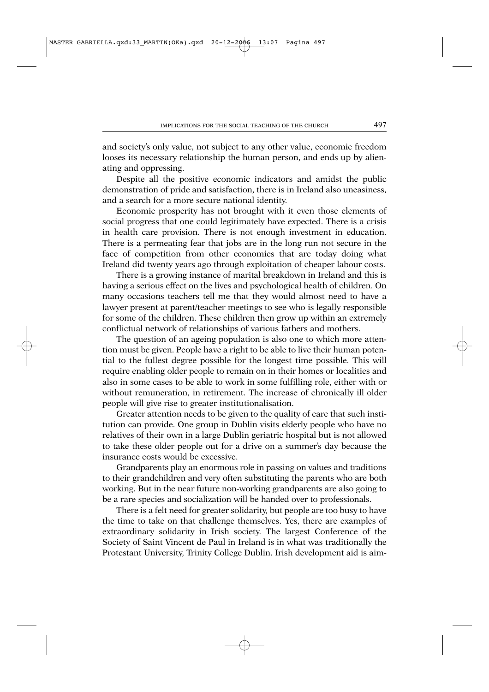and society's only value, not subject to any other value, economic freedom looses its necessary relationship the human person, and ends up by alienating and oppressing.

Despite all the positive economic indicators and amidst the public demonstration of pride and satisfaction, there is in Ireland also uneasiness, and a search for a more secure national identity.

Economic prosperity has not brought with it even those elements of social progress that one could legitimately have expected. There is a crisis in health care provision. There is not enough investment in education. There is a permeating fear that jobs are in the long run not secure in the face of competition from other economies that are today doing what Ireland did twenty years ago through exploitation of cheaper labour costs.

There is a growing instance of marital breakdown in Ireland and this is having a serious effect on the lives and psychological health of children. On many occasions teachers tell me that they would almost need to have a lawyer present at parent/teacher meetings to see who is legally responsible for some of the children. These children then grow up within an extremely conflictual network of relationships of various fathers and mothers.

The question of an ageing population is also one to which more attention must be given. People have a right to be able to live their human potential to the fullest degree possible for the longest time possible. This will require enabling older people to remain on in their homes or localities and also in some cases to be able to work in some fulfilling role, either with or without remuneration, in retirement. The increase of chronically ill older people will give rise to greater institutionalisation.

Greater attention needs to be given to the quality of care that such institution can provide. One group in Dublin visits elderly people who have no relatives of their own in a large Dublin geriatric hospital but is not allowed to take these older people out for a drive on a summer's day because the insurance costs would be excessive.

Grandparents play an enormous role in passing on values and traditions to their grandchildren and very often substituting the parents who are both working. But in the near future non-working grandparents are also going to be a rare species and socialization will be handed over to professionals.

There is a felt need for greater solidarity, but people are too busy to have the time to take on that challenge themselves. Yes, there are examples of extraordinary solidarity in Irish society. The largest Conference of the Society of Saint Vincent de Paul in Ireland is in what was traditionally the Protestant University, Trinity College Dublin. Irish development aid is aim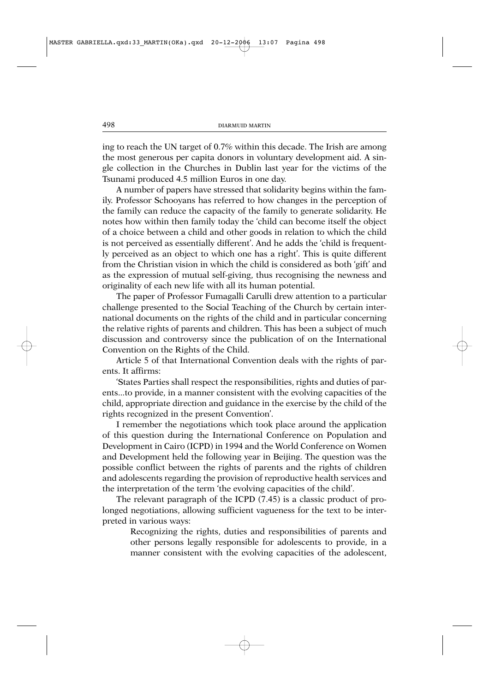ing to reach the UN target of 0.7% within this decade. The Irish are among the most generous per capita donors in voluntary development aid. A single collection in the Churches in Dublin last year for the victims of the Tsunami produced 4.5 million Euros in one day.

A number of papers have stressed that solidarity begins within the family. Professor Schooyans has referred to how changes in the perception of the family can reduce the capacity of the family to generate solidarity. He notes how within then family today the 'child can become itself the object of a choice between a child and other goods in relation to which the child is not perceived as essentially different'. And he adds the 'child is frequently perceived as an object to which one has a right'. This is quite different from the Christian vision in which the child is considered as both 'gift' and as the expression of mutual self-giving, thus recognising the newness and originality of each new life with all its human potential.

The paper of Professor Fumagalli Carulli drew attention to a particular challenge presented to the Social Teaching of the Church by certain international documents on the rights of the child and in particular concerning the relative rights of parents and children. This has been a subject of much discussion and controversy since the publication of on the International Convention on the Rights of the Child.

Article 5 of that International Convention deals with the rights of parents. It affirms:

'States Parties shall respect the responsibilities, rights and duties of parents...to provide, in a manner consistent with the evolving capacities of the child, appropriate direction and guidance in the exercise by the child of the rights recognized in the present Convention'.

I remember the negotiations which took place around the application of this question during the International Conference on Population and Development in Cairo (ICPD) in 1994 and the World Conference on Women and Development held the following year in Beijing. The question was the possible conflict between the rights of parents and the rights of children and adolescents regarding the provision of reproductive health services and the interpretation of the term 'the evolving capacities of the child'.

The relevant paragraph of the ICPD (7.45) is a classic product of prolonged negotiations, allowing sufficient vagueness for the text to be interpreted in various ways:

Recognizing the rights, duties and responsibilities of parents and other persons legally responsible for adolescents to provide, in a manner consistent with the evolving capacities of the adolescent,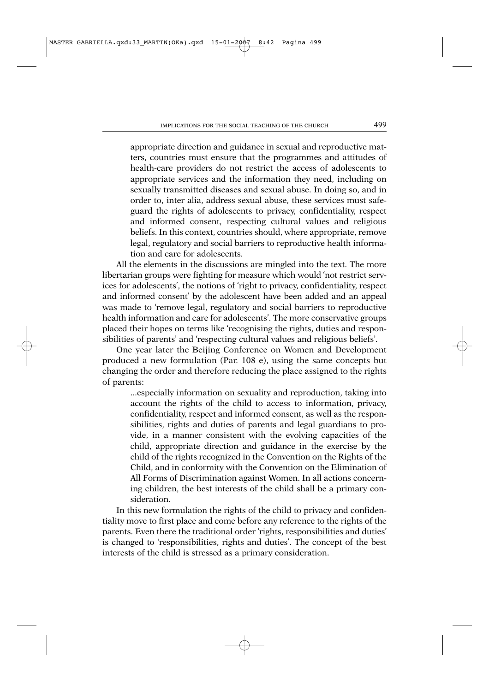appropriate direction and guidance in sexual and reproductive matters, countries must ensure that the programmes and attitudes of health-care providers do not restrict the access of adolescents to appropriate services and the information they need, including on sexually transmitted diseases and sexual abuse. In doing so, and in order to, inter alia, address sexual abuse, these services must safeguard the rights of adolescents to privacy, confidentiality, respect and informed consent, respecting cultural values and religious beliefs. In this context, countries should, where appropriate, remove legal, regulatory and social barriers to reproductive health information and care for adolescents.

All the elements in the discussions are mingled into the text. The more libertarian groups were fighting for measure which would 'not restrict services for adolescents', the notions of 'right to privacy, confidentiality, respect and informed consent' by the adolescent have been added and an appeal was made to 'remove legal, regulatory and social barriers to reproductive health information and care for adolescents'. The more conservative groups placed their hopes on terms like 'recognising the rights, duties and responsibilities of parents' and 'respecting cultural values and religious beliefs'.

One year later the Beijing Conference on Women and Development produced a new formulation (Par. 108 e), using the same concepts but changing the order and therefore reducing the place assigned to the rights of parents:

...especially information on sexuality and reproduction, taking into account the rights of the child to access to information, privacy, confidentiality, respect and informed consent, as well as the responsibilities, rights and duties of parents and legal guardians to provide, in a manner consistent with the evolving capacities of the child, appropriate direction and guidance in the exercise by the child of the rights recognized in the Convention on the Rights of the Child, and in conformity with the Convention on the Elimination of All Forms of Discrimination against Women. In all actions concerning children, the best interests of the child shall be a primary consideration.

In this new formulation the rights of the child to privacy and confidentiality move to first place and come before any reference to the rights of the parents. Even there the traditional order 'rights, responsibilities and duties' is changed to 'responsibilities, rights and duties'. The concept of the best interests of the child is stressed as a primary consideration.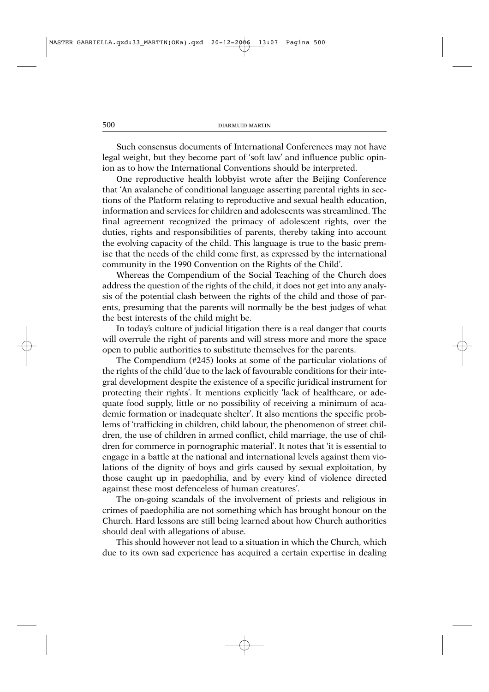Such consensus documents of International Conferences may not have legal weight, but they become part of 'soft law' and influence public opinion as to how the International Conventions should be interpreted.

One reproductive health lobbyist wrote after the Beijing Conference that 'An avalanche of conditional language asserting parental rights in sections of the Platform relating to reproductive and sexual health education, information and services for children and adolescents was streamlined. The final agreement recognized the primacy of adolescent rights, over the duties, rights and responsibilities of parents, thereby taking into account the evolving capacity of the child. This language is true to the basic premise that the needs of the child come first, as expressed by the international community in the 1990 Convention on the Rights of the Child'.

Whereas the Compendium of the Social Teaching of the Church does address the question of the rights of the child, it does not get into any analysis of the potential clash between the rights of the child and those of parents, presuming that the parents will normally be the best judges of what the best interests of the child might be.

In today's culture of judicial litigation there is a real danger that courts will overrule the right of parents and will stress more and more the space open to public authorities to substitute themselves for the parents.

The Compendium (#245) looks at some of the particular violations of the rights of the child 'due to the lack of favourable conditions for their integral development despite the existence of a specific juridical instrument for protecting their rights'. It mentions explicitly 'lack of healthcare, or adequate food supply, little or no possibility of receiving a minimum of academic formation or inadequate shelter'. It also mentions the specific problems of 'trafficking in children, child labour, the phenomenon of street children, the use of children in armed conflict, child marriage, the use of children for commerce in pornographic material'. It notes that 'it is essential to engage in a battle at the national and international levels against them violations of the dignity of boys and girls caused by sexual exploitation, by those caught up in paedophilia, and by every kind of violence directed against these most defenceless of human creatures'.

The on-going scandals of the involvement of priests and religious in crimes of paedophilia are not something which has brought honour on the Church. Hard lessons are still being learned about how Church authorities should deal with allegations of abuse.

This should however not lead to a situation in which the Church, which due to its own sad experience has acquired a certain expertise in dealing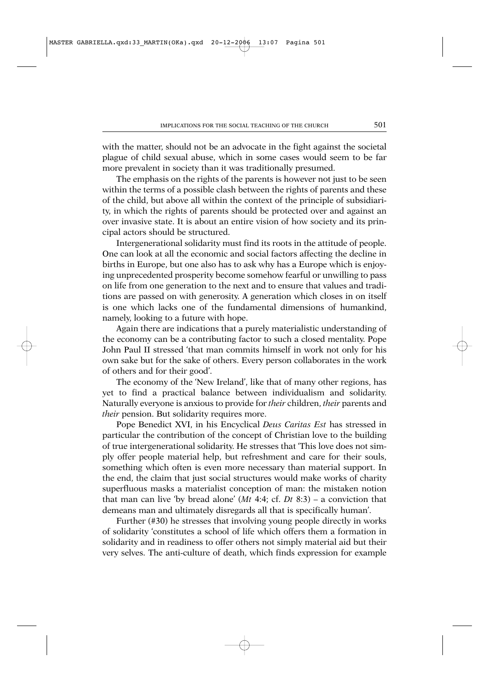with the matter, should not be an advocate in the fight against the societal plague of child sexual abuse, which in some cases would seem to be far more prevalent in society than it was traditionally presumed.

The emphasis on the rights of the parents is however not just to be seen within the terms of a possible clash between the rights of parents and these of the child, but above all within the context of the principle of subsidiarity, in which the rights of parents should be protected over and against an over invasive state. It is about an entire vision of how society and its principal actors should be structured.

Intergenerational solidarity must find its roots in the attitude of people. One can look at all the economic and social factors affecting the decline in births in Europe, but one also has to ask why has a Europe which is enjoying unprecedented prosperity become somehow fearful or unwilling to pass on life from one generation to the next and to ensure that values and traditions are passed on with generosity. A generation which closes in on itself is one which lacks one of the fundamental dimensions of humankind, namely, looking to a future with hope.

Again there are indications that a purely materialistic understanding of the economy can be a contributing factor to such a closed mentality. Pope John Paul II stressed 'that man commits himself in work not only for his own sake but for the sake of others. Every person collaborates in the work of others and for their good'.

The economy of the 'New Ireland', like that of many other regions, has yet to find a practical balance between individualism and solidarity. Naturally everyone is anxious to provide for *their* children, *their* parents and *their* pension. But solidarity requires more.

Pope Benedict XVI, in his Encyclical *Deus Caritas Est* has stressed in particular the contribution of the concept of Christian love to the building of true intergenerational solidarity. He stresses that 'This love does not simply offer people material help, but refreshment and care for their souls, something which often is even more necessary than material support. In the end, the claim that just social structures would make works of charity superfluous masks a materialist conception of man: the mistaken notion that man can live 'by bread alone' (*Mt* 4:4; cf. *Dt* 8:3) – a conviction that demeans man and ultimately disregards all that is specifically human'.

Further (#30) he stresses that involving young people directly in works of solidarity 'constitutes a school of life which offers them a formation in solidarity and in readiness to offer others not simply material aid but their very selves. The anti-culture of death, which finds expression for example